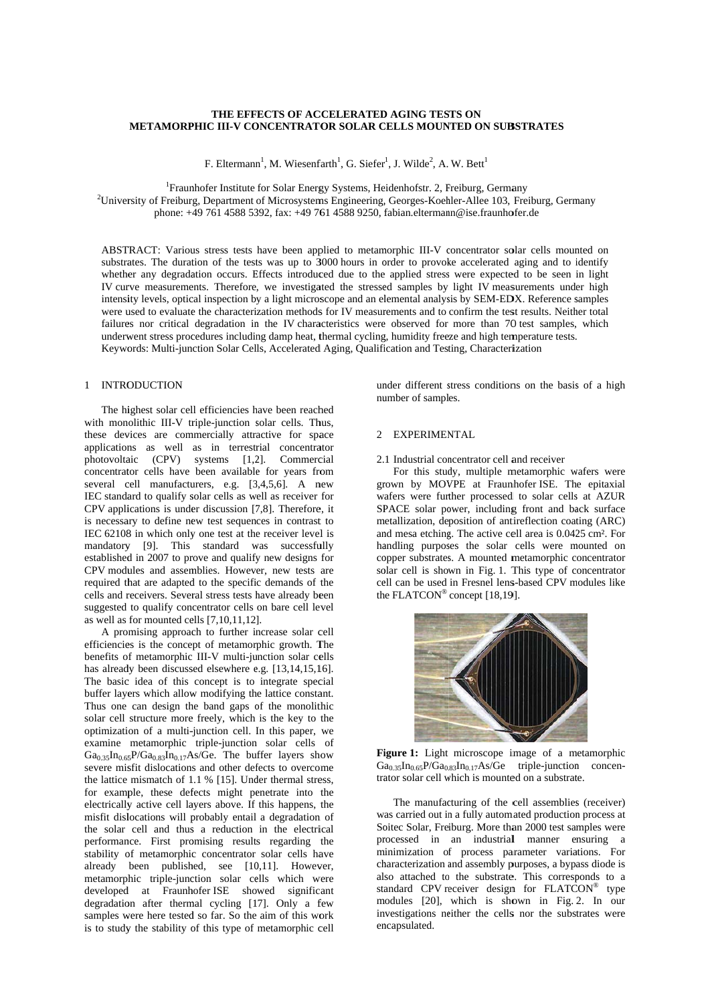# THE EFFECTS OF ACCELERATED AGING TESTS ON METAMORPHIC III-V CONCENTRATOR SOLAR CELLS MOUNTED ON SUBSTRATES

F. Eltermann<sup>1</sup>, M. Wiesenfarth<sup>1</sup>, G. Siefer<sup>1</sup>, J. Wilde<sup>2</sup>, A. W. Bett<sup>1</sup>

<sup>1</sup>Fraunhofer Institute for Solar Energy Systems, Heidenhofstr. 2, Freiburg, Germany <sup>2</sup>University of Freiburg, Department of Microsystems Engineering, Georges-Koehler-Allee 103, Freiburg, Germany phone: +49 761 4588 5392, fax: +49 761 4588 9250, fabian.eltermann@ise.fraunhofer.de

ABSTRACT: Various stress tests have been applied to metamorphic III-V concentrator solar cells mounted on substrates. The duration of the tests was up to 3000 hours in order to provoke accelerated aging and to identify whether any degradation occurs. Effects introduced due to the applied stress were expected to be seen in light IV curve measurements. Therefore, we investigated the stressed samples by light IV measurements under high intensity levels, optical inspection by a light microscope and an elemental analysis by SEM-EDX. Reference samples were used to evaluate the characterization methods for IV measurements and to confirm the test results. Neither total failures nor critical degradation in the IV characteristics were observed for more than 70 test samples, which underwent stress procedures including damp heat, thermal cycling, humidity freeze and high temperature tests. Keywords: Multi-junction Solar Cells, Accelerated Aging, Qualification and Testing, Characterization

# 1 INTRODUCTION

The highest solar cell efficiencies have been reached with monolithic III-V triple-junction solar cells. Thus, these devices are commercially attractive for space applications as well as in terrestrial concentrator photovoltaic (CPV) systems [1,2]. Commercial concentrator cells have been available for years from several cell manufacturers, e.g. [3,4,5,6]. A new IEC standard to qualify solar cells as well as receiver for CPV applications is under discussion  $[7,8]$ . Therefore, it is necessary to define new test sequences in contrast to IEC 62108 in which only one test at the receiver level is mandatory [9]. This standard was successfully established in 2007 to prove and qualify new designs for CPV modules and assemblies. However, new tests are required that are adapted to the specific demands of the cells and receivers. Several stress tests have already been suggested to qualify concentrator cells on bare cell level as well as for mounted cells  $[7,10,11,12]$ .

A promising approach to further increase solar cell efficiencies is the concept of metamorphic growth. The benefits of metamorphic III-V multi-junction solar cells has already been discussed elsewhere e.g. [13,14,15,16]. The basic idea of this concept is to integrate special buffer layers which allow modifying the lattice constant. Thus one can design the band gaps of the monolithic solar cell structure more freely, which is the key to the optimization of a multi-junction cell. In this paper, we examine metamorphic triple-junction solar cells of  $Ga_{0.35}In_{0.65}P/Ga_{0.83}In_{0.17}As/Ge$ . The buffer layers show severe misfit dislocations and other defects to overcome the lattice mismatch of 1.1 % [15]. Under thermal stress. for example, these defects might penetrate into the electrically active cell layers above. If this happens, the misfit dislocations will probably entail a degradation of the solar cell and thus a reduction in the electrical performance. First promising results regarding the stability of metamorphic concentrator solar cells have already been published, see [10,11]. However, metamorphic triple-junction solar cells which were developed at Fraunhofer ISE showed significant degradation after thermal cycling [17]. Only a few samples were here tested so far. So the aim of this work is to study the stability of this type of metamorphic cell under different stress conditions on the basis of a high number of samples.

## 2 EXPERIMENTAL

# 2.1 Industrial concentrator cell and receiver

For this study, multiple metamorphic wafers were grown by MOVPE at Fraunhofer ISE. The epitaxial wafers were further processed to solar cells at AZUR SPACE solar power, including front and back surface metallization, deposition of antireflection coating (ARC) and mesa etching. The active cell area is 0.0425 cm<sup>2</sup>. For handling purposes the solar cells were mounted on copper substrates. A mounted metamorphic concentrator solar cell is shown in Fig. 1. This type of concentrator cell can be used in Fresnel lens-based CPV modules like the FLATCON® concept [18.19].



Figure 1: Light microscope image of a metamorphic  $Ga<sub>0.35</sub> In<sub>0.65</sub>P/Ga<sub>0.83</sub> In<sub>0.17</sub> As/Ge triple-junction concern$ trator solar cell which is mounted on a substrate.

The manufacturing of the cell assemblies (receiver) was carried out in a fully automated production process at Soitec Solar, Freiburg. More than 2000 test samples were processed in an industrial manner ensuring a minimization of process parameter variations. For characterization and assembly purposes, a bypass diode is also attached to the substrate. This corresponds to a standard CPV receiver design for FLATCON® type modules [20], which is shown in Fig. 2. In our investigations neither the cells nor the substrates were encapsulated.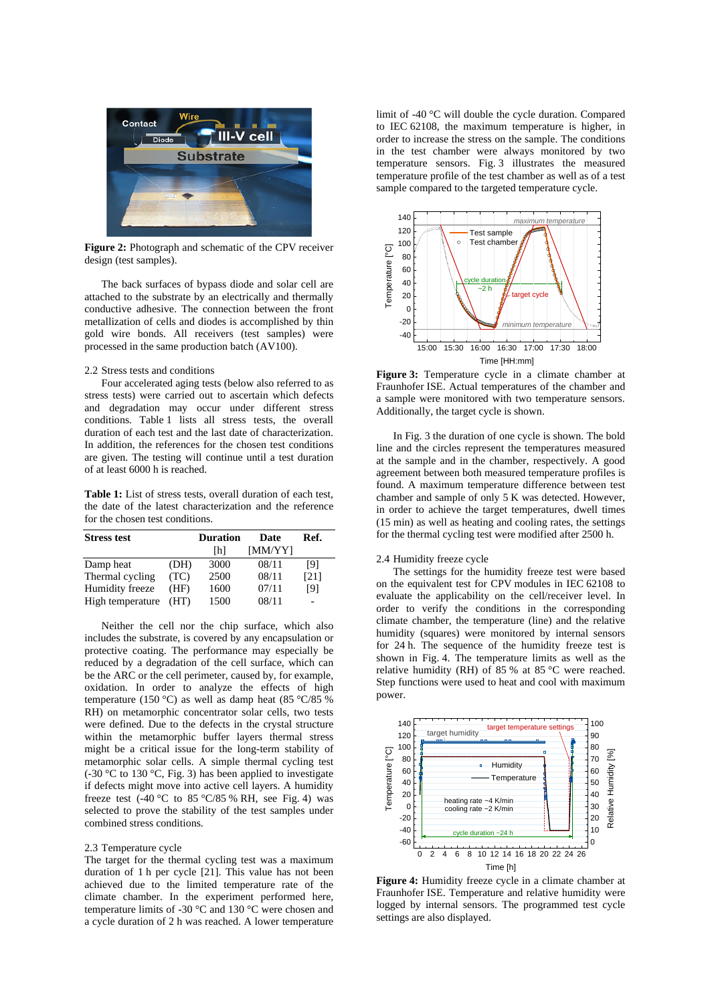

**Figure 2:** Photograph and schematic of the CPV receiver design (test samples).

The back surfaces of bypass diode and solar cell are attached to the substrate by an electrically and thermally conductive adhesive. The connection between the front metallization of cells and diodes is accomplished by thin gold wire bonds. All receivers (test samples) were processed in the same production batch (AV100).

2.2 Stress tests and conditions

Four accelerated aging tests (below also referred to as stress tests) were carried out to ascertain which defects and degradation may occur under different stress conditions. Table 1 lists all stress tests, the overall duration of each test and the last date of characterization. In addition, the references for the chosen test conditions are given. The testing will continue until a test duration of at least 6000 h is reached.

**Table 1:** List of stress tests, overall duration of each test, the date of the latest characterization and the reference for the chosen test conditions.

| <b>Stress test</b> |      | <b>Duration</b> | Date    | Ref. |
|--------------------|------|-----------------|---------|------|
|                    |      | Ihl             | [MM/YY] |      |
| Damp heat          | (DH) | 3000            | 08/11   | [9]  |
| Thermal cycling    | (TC) | 2500            | 08/11   | [21] |
| Humidity freeze    | (HF) | 1600            | 07/11   | [9]  |
| High temperature   | (HT) | 1500            | 08/11   |      |

Neither the cell nor the chip surface, which also includes the substrate, is covered by any encapsulation or protective coating. The performance may especially be reduced by a degradation of the cell surface, which can be the ARC or the cell perimeter, caused by, for example, oxidation. In order to analyze the effects of high temperature (150 °C) as well as damp heat (85 °C/85 %) RH) on metamorphic concentrator solar cells, two tests were defined. Due to the defects in the crystal structure within the metamorphic buffer layers thermal stress might be a critical issue for the long-term stability of metamorphic solar cells. A simple thermal cycling test (-30 °C to 130 °C, Fig. 3) has been applied to investigate if defects might move into active cell layers. A humidity freeze test (-40 °C to 85 °C/85 % RH, see Fig. 4) was selected to prove the stability of the test samples under combined stress conditions.

### 2.3 Temperature cycle

The target for the thermal cycling test was a maximum duration of 1 h per cycle [21]. This value has not been achieved due to the limited temperature rate of the climate chamber. In the experiment performed here, temperature limits of -30 °C and 130 °C were chosen and a cycle duration of 2 h was reached. A lower temperature

limit of -40 °C will double the cycle duration. Compared to IEC 62108, the maximum temperature is higher, in order to increase the stress on the sample. The conditions in the test chamber were always monitored by two temperature sensors. Fig. 3 illustrates the measured temperature profile of the test chamber as well as of a test sample compared to the targeted temperature cycle.



**Figure 3:** Temperature cycle in a climate chamber at Fraunhofer ISE. Actual temperatures of the chamber and a sample were monitored with two temperature sensors. Additionally, the target cycle is shown.

In Fig. 3 the duration of one cycle is shown. The bold line and the circles represent the temperatures measured at the sample and in the chamber, respectively. A good agreement between both measured temperature profiles is found. A maximum temperature difference between test chamber and sample of only 5 K was detected. However, in order to achieve the target temperatures, dwell times (15 min) as well as heating and cooling rates, the settings for the thermal cycling test were modified after 2500 h.

## 2.4 Humidity freeze cycle

The settings for the humidity freeze test were based on the equivalent test for CPV modules in IEC 62108 to evaluate the applicability on the cell/receiver level. In order to verify the conditions in the corresponding climate chamber, the temperature (line) and the relative humidity (squares) were monitored by internal sensors for 24 h. The sequence of the humidity freeze test is shown in Fig. 4. The temperature limits as well as the relative humidity (RH) of 85 % at 85 °C were reached. Step functions were used to heat and cool with maximum power.



**Figure 4:** Humidity freeze cycle in a climate chamber at Fraunhofer ISE. Temperature and relative humidity were logged by internal sensors. The programmed test cycle settings are also displayed.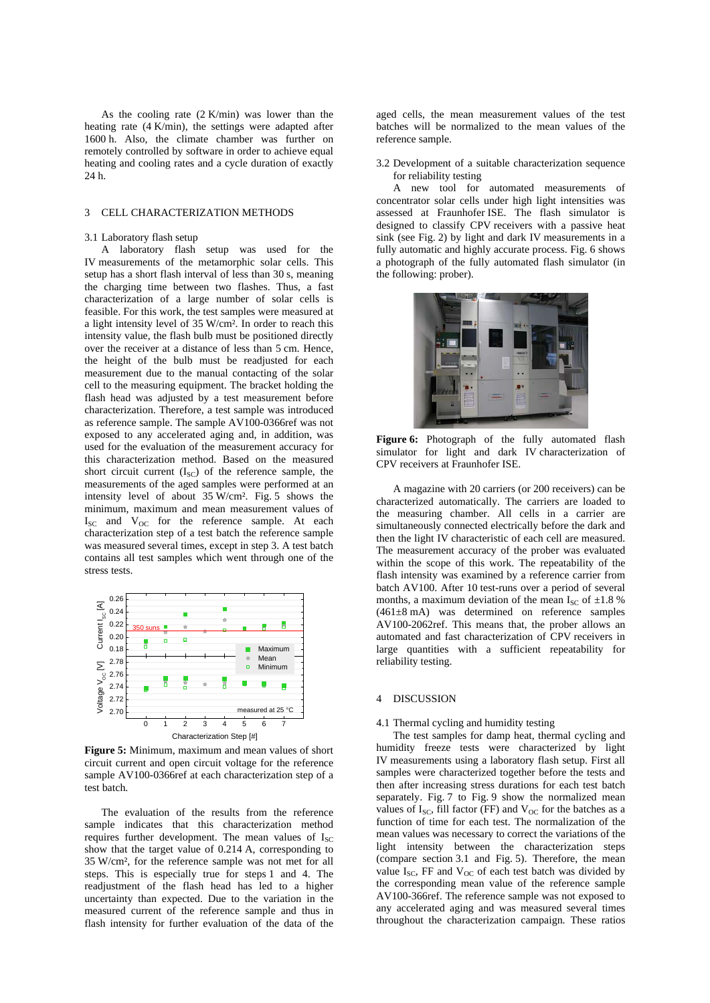As the cooling rate (2 K/min) was lower than the heating rate (4 K/min), the settings were adapted after 1600 h. Also, the climate chamber was further on remotely controlled by software in order to achieve equal heating and cooling rates and a cycle duration of exactly 24 h.

#### 3 CELL CHARACTERIZATION METHODS

### 3.1 Laboratory flash setup

A laboratory flash setup was used for the IV measurements of the metamorphic solar cells. This setup has a short flash interval of less than 30 s, meaning the charging time between two flashes. Thus, a fast characterization of a large number of solar cells is feasible. For this work, the test samples were measured at a light intensity level of 35 W/cm². In order to reach this intensity value, the flash bulb must be positioned directly over the receiver at a distance of less than 5 cm. Hence, the height of the bulb must be readjusted for each measurement due to the manual contacting of the solar cell to the measuring equipment. The bracket holding the flash head was adjusted by a test measurement before characterization. Therefore, a test sample was introduced as reference sample. The sample AV100-0366ref was not exposed to any accelerated aging and, in addition, was used for the evaluation of the measurement accuracy for this characterization method. Based on the measured short circuit current  $(I_{SC})$  of the reference sample, the measurements of the aged samples were performed at an intensity level of about 35 W/cm². Fig. 5 shows the minimum, maximum and mean measurement values of  $I_{SC}$  and  $V_{OC}$  for the reference sample. At each characterization step of a test batch the reference sample was measured several times, except in step 3. A test batch contains all test samples which went through one of the stress tests.



**Figure 5:** Minimum, maximum and mean values of short circuit current and open circuit voltage for the reference sample AV100-0366ref at each characterization step of a test batch.

The evaluation of the results from the reference sample indicates that this characterization method requires further development. The mean values of  $I_{SC}$ show that the target value of 0.214 A, corresponding to 35 W/cm², for the reference sample was not met for all steps. This is especially true for steps 1 and 4. The readjustment of the flash head has led to a higher uncertainty than expected. Due to the variation in the measured current of the reference sample and thus in flash intensity for further evaluation of the data of the

aged cells, the mean measurement values of the test batches will be normalized to the mean values of the reference sample.

3.2 Development of a suitable characterization sequence for reliability testing

A new tool for automated measurements of concentrator solar cells under high light intensities was assessed at Fraunhofer ISE. The flash simulator is designed to classify CPV receivers with a passive heat sink (see Fig. 2) by light and dark IV measurements in a fully automatic and highly accurate process. Fig. 6 shows a photograph of the fully automated flash simulator (in the following: prober).



**Figure 6:** Photograph of the fully automated flash simulator for light and dark IV characterization of CPV receivers at Fraunhofer ISE.

A magazine with 20 carriers (or 200 receivers) can be characterized automatically. The carriers are loaded to the measuring chamber. All cells in a carrier are simultaneously connected electrically before the dark and then the light IV characteristic of each cell are measured. The measurement accuracy of the prober was evaluated within the scope of this work. The repeatability of the flash intensity was examined by a reference carrier from batch AV100. After 10 test-runs over a period of several months, a maximum deviation of the mean  $I_{SC}$  of  $\pm 1.8$ %  $(461\pm8 \text{ mA})$  was determined on reference samples AV100-2062ref. This means that, the prober allows an automated and fast characterization of CPV receivers in large quantities with a sufficient repeatability for reliability testing.

### 4 DISCUSSION

### 4.1 Thermal cycling and humidity testing

The test samples for damp heat, thermal cycling and humidity freeze tests were characterized by light IV measurements using a laboratory flash setup. First all samples were characterized together before the tests and then after increasing stress durations for each test batch separately. Fig. 7 to Fig. 9 show the normalized mean values of  $I_{SC}$ , fill factor (FF) and  $V_{OC}$  for the batches as a function of time for each test. The normalization of the mean values was necessary to correct the variations of the light intensity between the characterization steps (compare section 3.1 and Fig. 5). Therefore, the mean value  $I_{SC}$ , FF and  $V_{OC}$  of each test batch was divided by the corresponding mean value of the reference sample AV100-366ref. The reference sample was not exposed to any accelerated aging and was measured several times throughout the characterization campaign. These ratios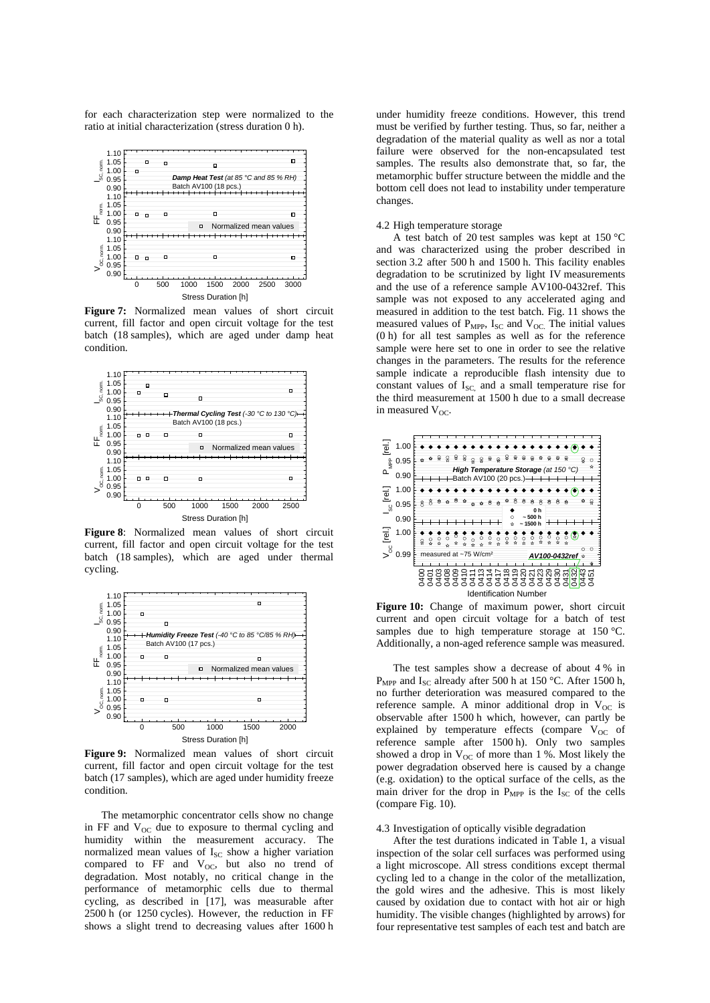for each characterization step were normalized to the ratio at initial characterization (stress duration 0 h).



**Figure 7:** Normalized mean values of short circuit current, fill factor and open circuit voltage for the test batch (18 samples), which are aged under damp heat condition.



**Figure 8**: Normalized mean values of short circuit current, fill factor and open circuit voltage for the test batch (18 samples), which are aged under thermal cycling.



**Figure 9:** Normalized mean values of short circuit current, fill factor and open circuit voltage for the test batch (17 samples), which are aged under humidity freeze condition.

The metamorphic concentrator cells show no change in FF and  $V_{OC}$  due to exposure to thermal cycling and humidity within the measurement accuracy. The normalized mean values of  $I_{SC}$  show a higher variation compared to FF and  $V_{OC}$ , but also no trend of degradation. Most notably, no critical change in the performance of metamorphic cells due to thermal cycling, as described in [17], was measurable after 2500 h (or 1250 cycles). However, the reduction in FF shows a slight trend to decreasing values after 1600 h under humidity freeze conditions. However, this trend must be verified by further testing. Thus, so far, neither a degradation of the material quality as well as nor a total failure were observed for the non-encapsulated test samples. The results also demonstrate that, so far, the metamorphic buffer structure between the middle and the bottom cell does not lead to instability under temperature changes.

### 4.2 High temperature storage

A test batch of 20 test samples was kept at 150 °C and was characterized using the prober described in section 3.2 after 500 h and 1500 h. This facility enables degradation to be scrutinized by light IV measurements and the use of a reference sample AV100-0432ref. This sample was not exposed to any accelerated aging and measured in addition to the test batch. Fig. 11 shows the measured values of  $P_{\text{MPP}}$ , I<sub>SC</sub> and V<sub>OC.</sub> The initial values (0 h) for all test samples as well as for the reference sample were here set to one in order to see the relative changes in the parameters. The results for the reference sample indicate a reproducible flash intensity due to constant values of  $I_{SC}$  and a small temperature rise for the third measurement at 1500 h due to a small decrease in measured  $V_{OC}$ .



**Figure 10:** Change of maximum power, short circuit current and open circuit voltage for a batch of test samples due to high temperature storage at 150 °C. Additionally, a non-aged reference sample was measured.

The test samples show a decrease of about 4 % in P<sub>MPP</sub> and I<sub>SC</sub> already after 500 h at 150 °C. After 1500 h, no further deterioration was measured compared to the reference sample. A minor additional drop in  $V_{OC}$  is observable after 1500 h which, however, can partly be explained by temperature effects (compare  $V_{OC}$  of reference sample after 1500 h). Only two samples showed a drop in  $V_{OC}$  of more than 1 %. Most likely the power degradation observed here is caused by a change (e.g. oxidation) to the optical surface of the cells, as the main driver for the drop in  $P_{MPP}$  is the  $I_{SC}$  of the cells (compare Fig. 10).

# 4.3 Investigation of optically visible degradation

After the test durations indicated in Table 1, a visual inspection of the solar cell surfaces was performed using a light microscope. All stress conditions except thermal cycling led to a change in the color of the metallization, the gold wires and the adhesive. This is most likely caused by oxidation due to contact with hot air or high humidity. The visible changes (highlighted by arrows) for four representative test samples of each test and batch are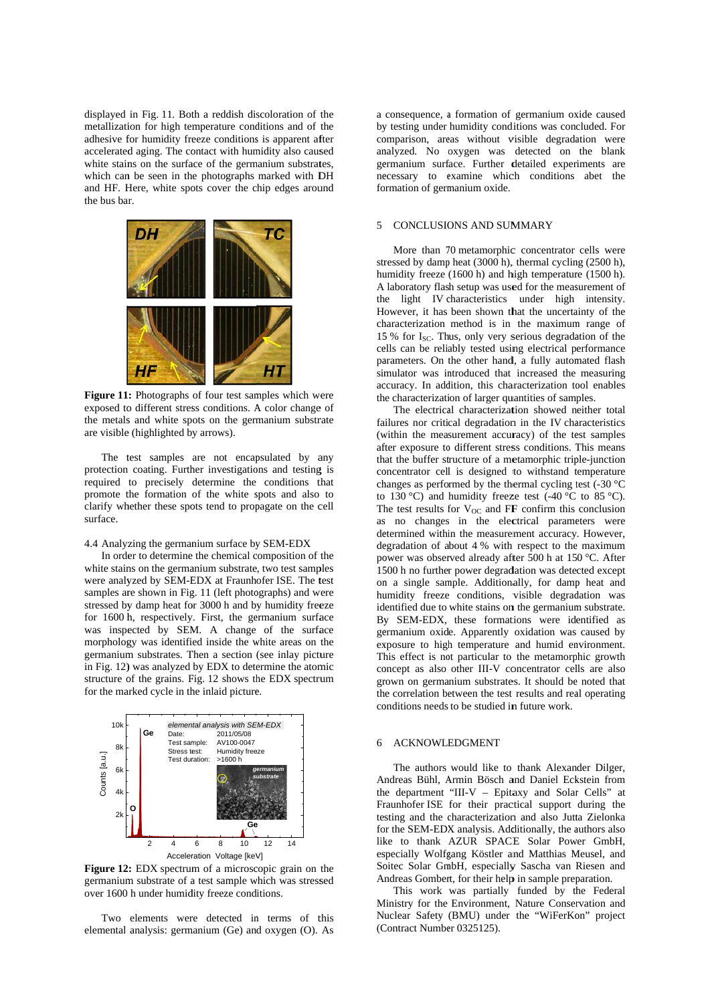displayed in Fig. 11. Both a reddish discoloration of the metallization for high temperature conditions and of the adhesive for humidity freeze conditions is apparent after accelerated aging. The contact with humidity also caused white stains on the surface of the germanium substrates, which can be seen in the photographs marked with DH and HF. Here, white spots cover the chip edges around the bus bar.



Figure 11: Photographs of four test samples which were exposed to different stress conditions. A color change of the metals and white spots on the germanium substrate are visible (highlighted by arrows).

The test samples are not encapsulated by any protection coating. Further investigations and testing is required to precisely determine the conditions that promote the formation of the white spots and also to clarify whether these spots tend to propagate on the cell surface.

### 4.4 Analyzing the germanium surface by SEM-EDX

In order to determine the chemical composition of the white stains on the germanium substrate, two test samples were analyzed by SEM-EDX at Fraunhofer ISE. The test samples are shown in Fig. 11 (left photographs) and were stressed by damp heat for 3000 h and by humidity freeze for 1600 h, respectively. First, the germanium surface was inspected by SEM. A change of the surface morphology was identified inside the white areas on the germanium substrates. Then a section (see inlay picture in Fig. 12) was analyzed by EDX to determine the atomic structure of the grains. Fig. 12 shows the EDX spectrum for the marked cycle in the inlaid picture.



**Figure 12:** EDX spectrum of a microscopic grain on the germanium substrate of a test sample which was stressed over 1600 h under humidity freeze conditions.

Two elements were detected in terms of this elemental analysis: germanium (Ge) and oxygen (O). As a consequence, a formation of germanium oxide caused by testing under humidity conditions was concluded. For comparison, areas without visible degradation were an nalyzed. No oxygen was detected on the blank germanium surface. Further detailed experiments are necessary to examine which conditions abet the formation of germanium oxide.

#### 5 CONCLUSIONS AND SUMMARY

stressed by damp heat (3000 h), thermal cycling (2500 h), humidity freeze (1600 h) and high temperature (1500 h). A laboratory flash setup was used for the measurement of the light IV characteristics under high intensity. However, it has been shown that the uncertainty of the ch haracterization method is in the maximum m range of 15 % for I<sub>SC</sub>. Thus, only very serious degradation of the cells can be reliably tested using electrical performance parameters. On the other hand, a fully automated flash simulator was introduced that increased the measuring accuracy. In addition, this characterization tool enables the characterization of larger quantities of samples. More than 70 metamorphic concentrator cells were

failures nor critical degradation in the IV characteristics (within the measurement accuracy) of the test samples after exposure to different stress conditions. This means that the buffer structure of a metamorphic triple-junction concentrator cell is designed to withstand temperature changes as performed by the thermal cycling test  $(-30 \degree C)$ to 130 °C) and humidity freeze test  $(-40 \degree C)$  to 85 °C). The test results for  $V_{OC}$  and FF confirm this conclusion as no changes in the electrical parameters were determined within the measurement accuracy. However, degradation of about 4 % with respect to the maximum power was observed already after 500 h at 150 °C. After 1500 h no further power degradation was detected except on a single sample. Additionally, for damp heat and humidity freeze conditions, visible degradation was identified due to white stains on the germanium substrate. By SEM-EDX, these formations were identified as ge ermanium oxid e. Apparently oxidation was caused by exposure to high temperature and humid environment. This effect is not particular to the metamorphic growth concept as also other III-V concentrator cells are also grown on germanium substrates. It should be noted that the correlation between the test results and real operating conditions needs to be studied in future work. The electrical characterization showed neither total

### 6 ACKNOWLE EDGMENT

Andreas Bühl, Armin Bösch and Daniel Eckstein from the department "III-V - Epitaxy and Solar Cells" at Fraunhofer ISE for their practical support during the testing and the characterization and also Jutta Zielonka for the SEM-EDX analysis. Additionally, the authors also like to thank AZUR SPACE Solar Power GmbH, especially Wolfgang Köstler and Matthias Meusel, and Soitec Solar GmbH, especially Sascha van Riesen and Andreas Gombert, for their help in sample preparation. The authors would like to thank Alexander Dilger,

Ministry for the Environment, Nature Conservation and Nuclear Safety (BMU) under the "WiFerKon" project (Contract Number 0325125). This work was partially funded by th he Federal